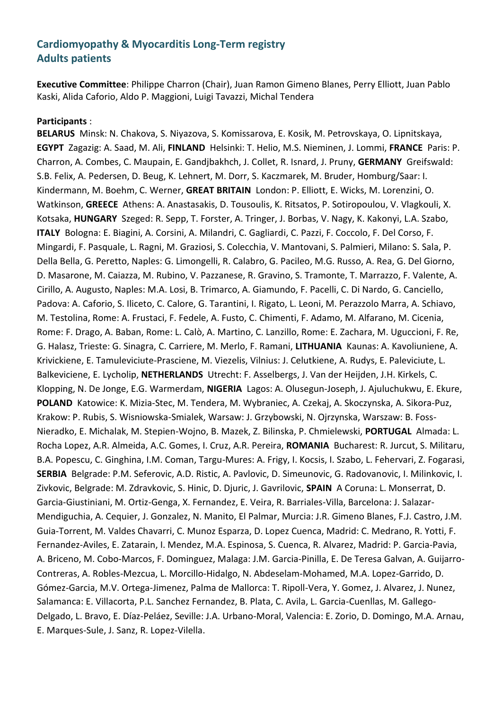# **Cardiomyopathy & Myocarditis Long-Term registry Adults patients**

**Executive Committee**: Philippe Charron (Chair), Juan Ramon Gimeno Blanes, Perry Elliott, Juan Pablo Kaski, Alida Caforio, Aldo P. Maggioni, Luigi Tavazzi, Michal Tendera

#### **Participants** :

**BELARUS** Minsk: N. Chakova, S. Niyazova, S. Komissarova, E. Kosik, M. Petrovskaya, O. Lipnitskaya, **EGYPT** Zagazig: A. Saad, M. Ali, **FINLAND** Helsinki: T. Helio, M.S. Nieminen, J. Lommi, **FRANCE** Paris: P. Charron, A. Combes, C. Maupain, E. Gandjbakhch, J. Collet, R. Isnard, J. Pruny, **GERMANY** Greifswald: S.B. Felix, A. Pedersen, D. Beug, K. Lehnert, M. Dorr, S. Kaczmarek, M. Bruder, Homburg/Saar: I. Kindermann, M. Boehm, C. Werner, **GREAT BRITAIN** London: P. Elliott, E. Wicks, M. Lorenzini, O. Watkinson, **GREECE** Athens: A. Anastasakis, D. Tousoulis, K. Ritsatos, P. Sotiropoulou, V. Vlagkouli, X. Kotsaka, **HUNGARY** Szeged: R. Sepp, T. Forster, A. Tringer, J. Borbas, V. Nagy, K. Kakonyi, L.A. Szabo, **ITALY** Bologna: E. Biagini, A. Corsini, A. Milandri, C. Gagliardi, C. Pazzi, F. Coccolo, F. Del Corso, F. Mingardi, F. Pasquale, L. Ragni, M. Graziosi, S. Colecchia, V. Mantovani, S. Palmieri, Milano: S. Sala, P. Della Bella, G. Peretto, Naples: G. Limongelli, R. Calabro, G. Pacileo, M.G. Russo, A. Rea, G. Del Giorno, D. Masarone, M. Caiazza, M. Rubino, V. Pazzanese, R. Gravino, S. Tramonte, T. Marrazzo, F. Valente, A. Cirillo, A. Augusto, Naples: M.A. Losi, B. Trimarco, A. Giamundo, F. Pacelli, C. Di Nardo, G. Canciello, Padova: A. Caforio, S. Iliceto, C. Calore, G. Tarantini, I. Rigato, L. Leoni, M. Perazzolo Marra, A. Schiavo, M. Testolina, Rome: A. Frustaci, F. Fedele, A. Fusto, C. Chimenti, F. Adamo, M. Alfarano, M. Cicenia, Rome: F. Drago, A. Baban, Rome: L. Calò, A. Martino, C. Lanzillo, Rome: E. Zachara, M. Uguccioni, F. Re, G. Halasz, Trieste: G. Sinagra, C. Carriere, M. Merlo, F. Ramani, **LITHUANIA** Kaunas: A. Kavoliuniene, A. Krivickiene, E. Tamuleviciute-Prasciene, M. Viezelis, Vilnius: J. Celutkiene, A. Rudys, E. Paleviciute, L. Balkeviciene, E. Lycholip, **NETHERLANDS** Utrecht: F. Asselbergs, J. Van der Heijden, J.H. Kirkels, C. Klopping, N. De Jonge, E.G. Warmerdam, **NIGERIA** Lagos: A. Olusegun-Joseph, J. Ajuluchukwu, E. Ekure, **POLAND** Katowice: K. Mizia-Stec, M. Tendera, M. Wybraniec, A. Czekaj, A. Skoczynska, A. Sikora-Puz, Krakow: P. Rubis, S. Wisniowska-Smialek, Warsaw: J. Grzybowski, N. Ojrzynska, Warszaw: B. Foss-Nieradko, E. Michalak, M. Stepien-Wojno, B. Mazek, Z. Bilinska, P. Chmielewski, **PORTUGAL** Almada: L. Rocha Lopez, A.R. Almeida, A.C. Gomes, I. Cruz, A.R. Pereira, **ROMANIA** Bucharest: R. Jurcut, S. Militaru, B.A. Popescu, C. Ginghina, I.M. Coman, Targu-Mures: A. Frigy, I. Kocsis, I. Szabo, L. Fehervari, Z. Fogarasi, **SERBIA** Belgrade: P.M. Seferovic, A.D. Ristic, A. Pavlovic, D. Simeunovic, G. Radovanovic, I. Milinkovic, I. Zivkovic, Belgrade: M. Zdravkovic, S. Hinic, D. Djuric, J. Gavrilovic, **SPAIN** A Coruna: L. Monserrat, D. Garcia-Giustiniani, M. Ortiz-Genga, X. Fernandez, E. Veira, R. Barriales-Villa, Barcelona: J. Salazar-Mendiguchia, A. Cequier, J. Gonzalez, N. Manito, El Palmar, Murcia: J.R. Gimeno Blanes, F.J. Castro, J.M. Guia-Torrent, M. Valdes Chavarri, C. Munoz Esparza, D. Lopez Cuenca, Madrid: C. Medrano, R. Yotti, F. Fernandez-Aviles, E. Zatarain, I. Mendez, M.A. Espinosa, S. Cuenca, R. Alvarez, Madrid: P. Garcia-Pavia, A. Briceno, M. Cobo-Marcos, F. Dominguez, Malaga: J.M. Garcia-Pinilla, E. De Teresa Galvan, A. Guijarro-Contreras, A. Robles-Mezcua, L. Morcillo-Hidalgo, N. Abdeselam-Mohamed, M.A. Lopez-Garrido, D. Gómez-Garcia, M.V. Ortega-Jimenez, Palma de Mallorca: T. Ripoll-Vera, Y. Gomez, J. Alvarez, J. Nunez, Salamanca: E. Villacorta, P.L. Sanchez Fernandez, B. Plata, C. Avila, L. Garcia-Cuenllas, M. Gallego-Delgado, L. Bravo, E. Díaz-Peláez, Seville: J.A. Urbano-Moral, Valencia: E. Zorio, D. Domingo, M.A. Arnau, E. Marques-Sule, J. Sanz, R. Lopez-Vilella.